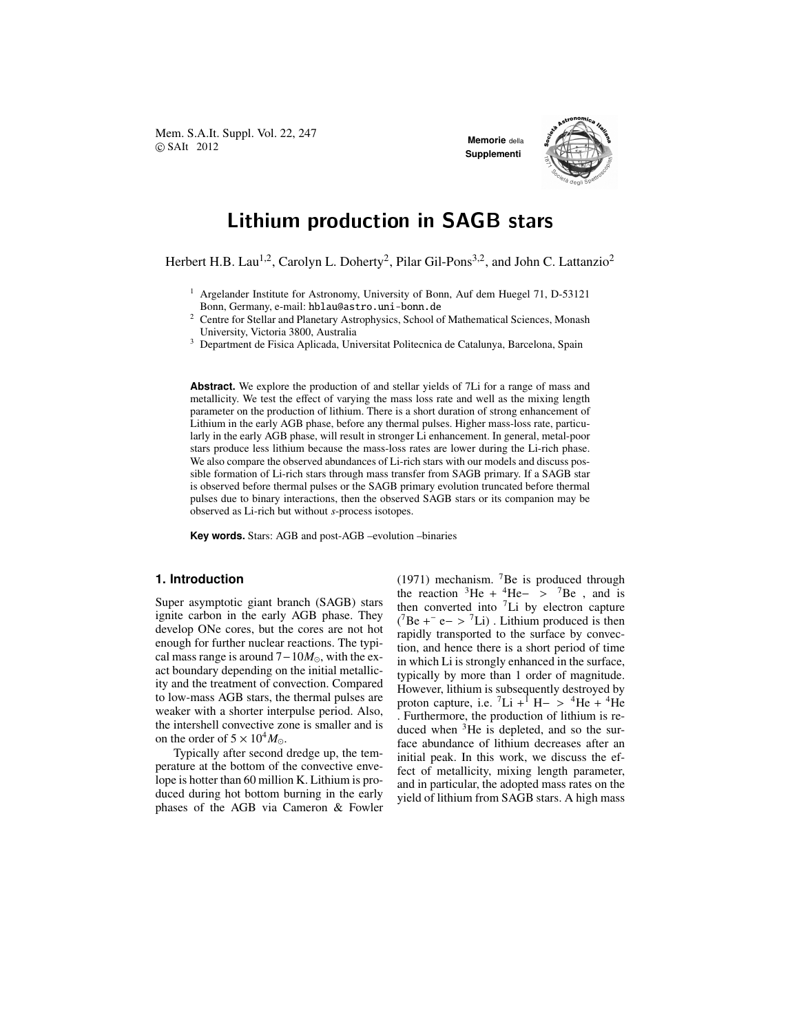Mem. S.A.It. Suppl. Vol. 22, 247 **COVID-12012 Memorie** della **Memorie** della **Memorie** della **Memorie** della

**Supplementi**



# Lithium production in SAGB stars

Herbert H.B. Lau<sup>1,2</sup>, Carolyn L. Doherty<sup>2</sup>, Pilar Gil-Pons<sup>3,2</sup>, and John C. Lattanzio<sup>2</sup>

- <sup>1</sup> Argelander Institute for Astronomy, University of Bonn, Auf dem Huegel 71, D-53121 Bonn, Germany, e-mail: hblau@astro.uni-bonn.de
- <sup>2</sup> Centre for Stellar and Planetary Astrophysics, School of Mathematical Sciences, Monash University, Victoria 3800, Australia
- <sup>3</sup> Department de Fisica Aplicada, Universitat Politecnica de Catalunya, Barcelona, Spain

**Abstract.** We explore the production of and stellar yields of 7Li for a range of mass and metallicity. We test the effect of varying the mass loss rate and well as the mixing length parameter on the production of lithium. There is a short duration of strong enhancement of Lithium in the early AGB phase, before any thermal pulses. Higher mass-loss rate, particularly in the early AGB phase, will result in stronger Li enhancement. In general, metal-poor stars produce less lithium because the mass-loss rates are lower during the Li-rich phase. We also compare the observed abundances of Li-rich stars with our models and discuss possible formation of Li-rich stars through mass transfer from SAGB primary. If a SAGB star is observed before thermal pulses or the SAGB primary evolution truncated before thermal pulses due to binary interactions, then the observed SAGB stars or its companion may be observed as Li-rich but without *s*-process isotopes.

**Key words.** Stars: AGB and post-AGB –evolution –binaries

## **1. Introduction**

Super asymptotic giant branch (SAGB) stars ignite carbon in the early AGB phase. They develop ONe cores, but the cores are not hot enough for further nuclear reactions. The typical mass range is around 7−10*M*⊙, with the exact boundary depending on the initial metallicity and the treatment of convection. Compared to low-mass AGB stars, the thermal pulses are weaker with a shorter interpulse period. Also, the intershell convective zone is smaller and is on the order of  $5 \times 10^4 M_{\odot}$ .

Typically after second dredge up, the temperature at the bottom of the convective envelope is hotter than 60 million K. Lithium is produced during hot bottom burning in the early phases of the AGB via Cameron & Fowler (1971) mechanism.  $7Be$  is produced through the reaction  ${}^{3}$ He +  ${}^{4}$ He-  $> {}^{7}$ Be, and is then converted into  ${}^{7}$ Li by electron capture  $(^{7}Be +^{-}e - > ^{7}Li)$ . Lithium produced is then rapidly transported to the surface by convection, and hence there is a short period of time in which Li is strongly enhanced in the surface, typically by more than 1 order of magnitude. However, lithium is subsequently destroyed by proton capture, i.e.  ${}^{7}Li + {}^{1}H- > {}^{4}He + {}^{4}He$ . Furthermore, the production of lithium is reduced when  ${}^{3}$ He is depleted, and so the surface abundance of lithium decreases after an initial peak. In this work, we discuss the effect of metallicity, mixing length parameter, and in particular, the adopted mass rates on the yield of lithium from SAGB stars. A high mass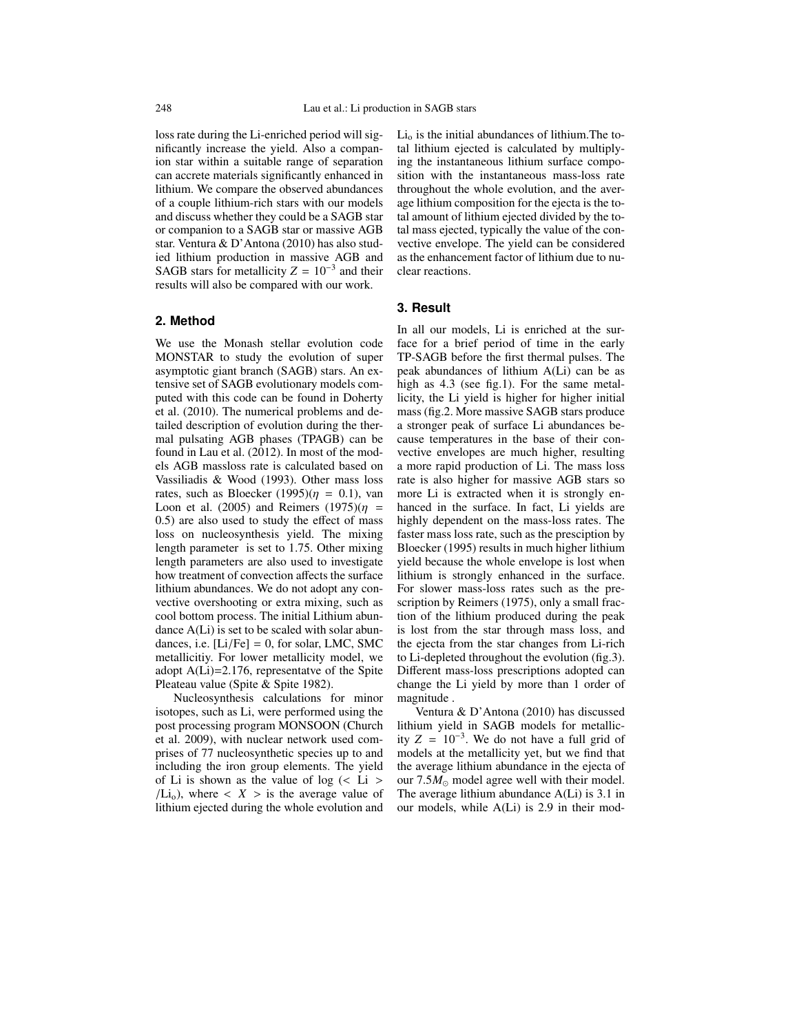loss rate during the Li-enriched period will significantly increase the yield. Also a companion star within a suitable range of separation can accrete materials significantly enhanced in lithium. We compare the observed abundances of a couple lithium-rich stars with our models and discuss whether they could be a SAGB star or companion to a SAGB star or massive AGB star. Ventura & D'Antona (2010) has also studied lithium production in massive AGB and SAGB stars for metallicity  $Z = 10^{-3}$  and their results will also be compared with our work.

### **2. Method**

We use the Monash stellar evolution code MONSTAR to study the evolution of super asymptotic giant branch (SAGB) stars. An extensive set of SAGB evolutionary models computed with this code can be found in Doherty et al. (2010). The numerical problems and detailed description of evolution during the thermal pulsating AGB phases (TPAGB) can be found in Lau et al. (2012). In most of the models AGB massloss rate is calculated based on Vassiliadis & Wood (1993). Other mass loss rates, such as Bloecker (1995)( $\eta = 0.1$ ), van Loon et al. (2005) and Reimers (1975)( $\eta$  = 0.5) are also used to study the effect of mass loss on nucleosynthesis yield. The mixing length parameter is set to 1.75. Other mixing length parameters are also used to investigate how treatment of convection affects the surface lithium abundances. We do not adopt any convective overshooting or extra mixing, such as cool bottom process. The initial Lithium abundance A(Li) is set to be scaled with solar abundances, i.e.  $[Li/Fe] = 0$ , for solar, LMC, SMC metallicitiy. For lower metallicity model, we adopt A(Li)=2.176, representatve of the Spite Pleateau value (Spite & Spite 1982).

Nucleosynthesis calculations for minor isotopes, such as Li, were performed using the post processing program MONSOON (Church et al. 2009), with nuclear network used comprises of 77 nucleosynthetic species up to and including the iron group elements. The yield of Li is shown as the value of  $log$  (< Li >  $/Li<sub>o</sub>$ ), where  $\langle X \rangle$  is the average value of lithium ejected during the whole evolution and  $Li<sub>o</sub>$  is the initial abundances of lithium. The total lithium ejected is calculated by multiplying the instantaneous lithium surface composition with the instantaneous mass-loss rate throughout the whole evolution, and the average lithium composition for the ejecta is the total amount of lithium ejected divided by the total mass ejected, typically the value of the convective envelope. The yield can be considered as the enhancement factor of lithium due to nuclear reactions.

## **3. Result**

In all our models, Li is enriched at the surface for a brief period of time in the early TP-SAGB before the first thermal pulses. The peak abundances of lithium A(Li) can be as high as 4.3 (see fig.1). For the same metallicity, the Li yield is higher for higher initial mass (fig.2. More massive SAGB stars produce a stronger peak of surface Li abundances because temperatures in the base of their convective envelopes are much higher, resulting a more rapid production of Li. The mass loss rate is also higher for massive AGB stars so more Li is extracted when it is strongly enhanced in the surface. In fact, Li yields are highly dependent on the mass-loss rates. The faster mass loss rate, such as the presciption by Bloecker (1995) results in much higher lithium yield because the whole envelope is lost when lithium is strongly enhanced in the surface. For slower mass-loss rates such as the prescription by Reimers (1975), only a small fraction of the lithium produced during the peak is lost from the star through mass loss, and the ejecta from the star changes from Li-rich to Li-depleted throughout the evolution (fig.3). Different mass-loss prescriptions adopted can change the Li yield by more than 1 order of magnitude .

Ventura & D'Antona (2010) has discussed lithium yield in SAGB models for metallicity  $Z = 10^{-3}$ . We do not have a full grid of models at the metallicity yet, but we find that the average lithium abundance in the ejecta of our  $7.5M_{\odot}$  model agree well with their model. The average lithium abundance A(Li) is 3.1 in our models, while A(Li) is 2.9 in their mod-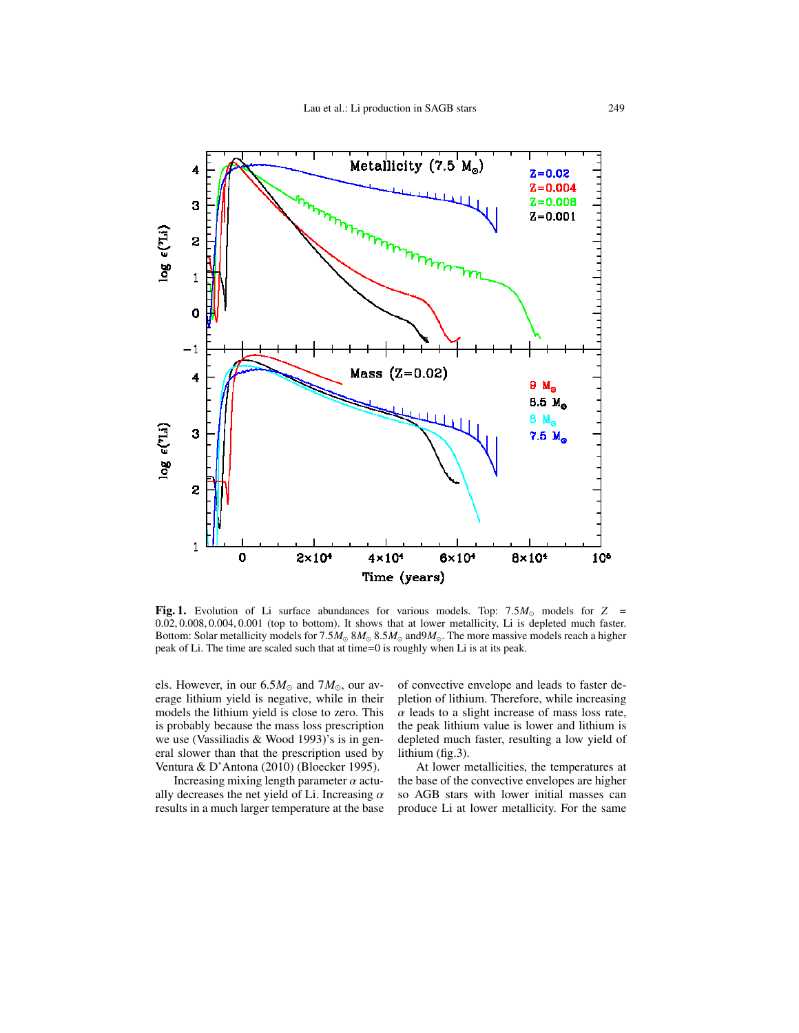

Fig. 1. Evolution of Li surface abundances for various models. Top: 7.5*M*<sup>⊙</sup> models for *Z* = 0.02, 0.008, 0.004, 0.001 (top to bottom). It shows that at lower metallicity, Li is depleted much faster. Bottom: Solar metallicity models for 7.5*M*<sup>⊙</sup> 8*M*<sup>⊙</sup> 8.5*M*<sup>⊙</sup> and9*M*⊙. The more massive models reach a higher peak of Li. The time are scaled such that at time=0 is roughly when Li is at its peak.

els. However, in our  $6.5M_{\odot}$  and  $7M_{\odot}$ , our average lithium yield is negative, while in their models the lithium yield is close to zero. This is probably because the mass loss prescription we use (Vassiliadis & Wood 1993)'s is in general slower than that the prescription used by Ventura & D'Antona (2010) (Bloecker 1995).

Increasing mixing length parameter  $\alpha$  actually decreases the net yield of Li. Increasing  $\alpha$ results in a much larger temperature at the base

of convective envelope and leads to faster depletion of lithium. Therefore, while increasing  $\alpha$  leads to a slight increase of mass loss rate, the peak lithium value is lower and lithium is depleted much faster, resulting a low yield of lithium (fig.3).

At lower metallicities, the temperatures at the base of the convective envelopes are higher so AGB stars with lower initial masses can produce Li at lower metallicity. For the same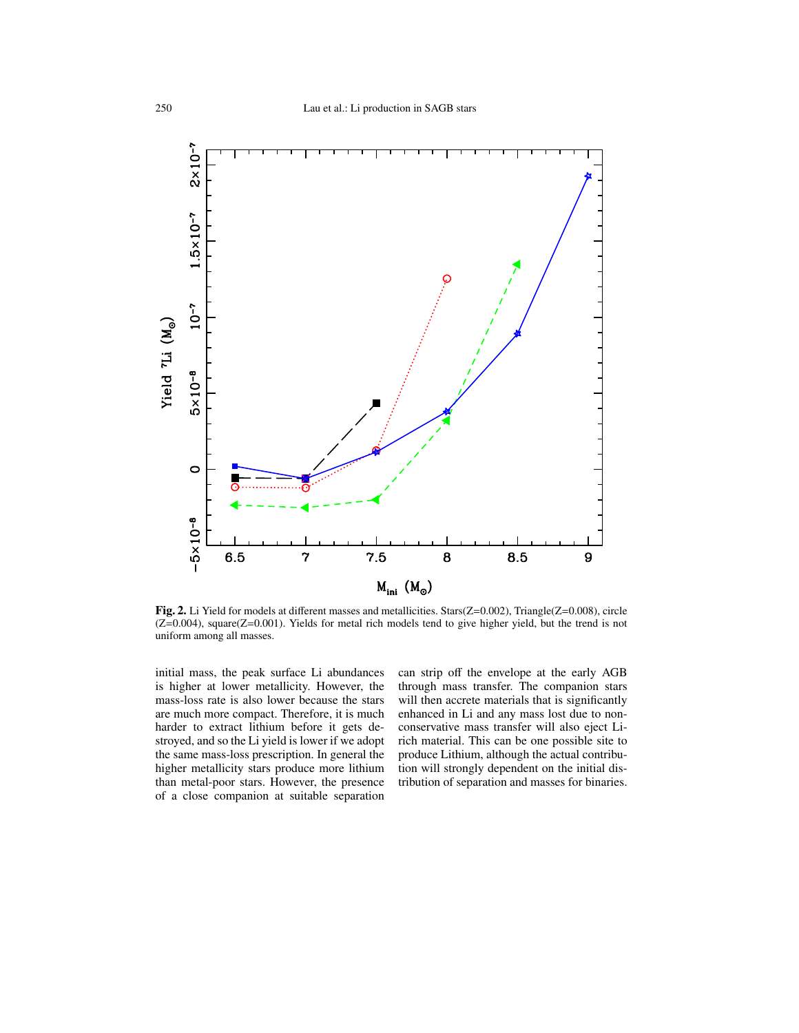

Fig. 2. Li Yield for models at different masses and metallicities. Stars(Z=0.002), Triangle(Z=0.008), circle (Z=0.004), square(Z=0.001). Yields for metal rich models tend to give higher yield, but the trend is not uniform among all masses.

initial mass, the peak surface Li abundances is higher at lower metallicity. However, the mass-loss rate is also lower because the stars are much more compact. Therefore, it is much harder to extract lithium before it gets destroyed, and so the Li yield is lower if we adopt the same mass-loss prescription. In general the higher metallicity stars produce more lithium than metal-poor stars. However, the presence of a close companion at suitable separation

can strip off the envelope at the early AGB through mass transfer. The companion stars will then accrete materials that is significantly enhanced in Li and any mass lost due to nonconservative mass transfer will also eject Lirich material. This can be one possible site to produce Lithium, although the actual contribution will strongly dependent on the initial distribution of separation and masses for binaries.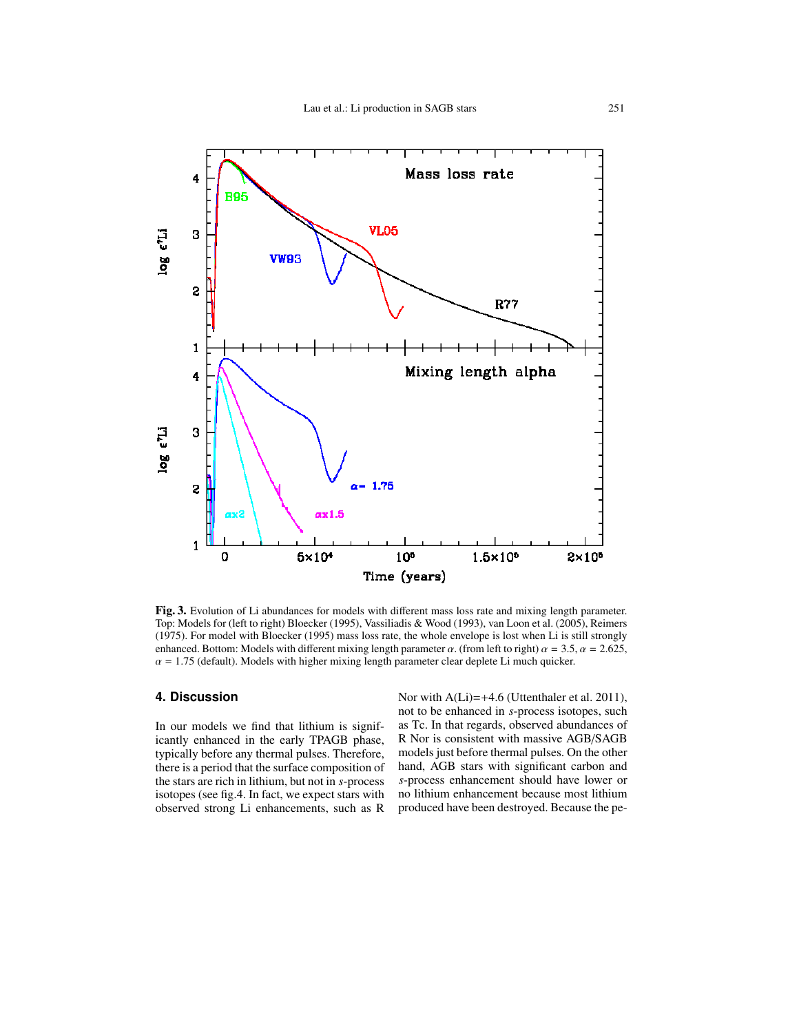

Fig. 3. Evolution of Li abundances for models with different mass loss rate and mixing length parameter. Top: Models for (left to right) Bloecker (1995), Vassiliadis & Wood (1993), van Loon et al. (2005), Reimers (1975). For model with Bloecker (1995) mass loss rate, the whole envelope is lost when Li is still strongly enhanced. Bottom: Models with different mixing length parameter  $\alpha$ . (from left to right)  $\alpha = 3.5$ ,  $\alpha = 2.625$ ,  $\alpha$  = 1.75 (default). Models with higher mixing length parameter clear deplete Li much quicker.

## **4. Discussion**

In our models we find that lithium is significantly enhanced in the early TPAGB phase, typically before any thermal pulses. Therefore, there is a period that the surface composition of the stars are rich in lithium, but not in *s*-process isotopes (see fig.4. In fact, we expect stars with observed strong Li enhancements, such as R Nor with A(Li)=+4.6 (Uttenthaler et al. 2011), not to be enhanced in *s*-process isotopes, such as Tc. In that regards, observed abundances of R Nor is consistent with massive AGB/SAGB models just before thermal pulses. On the other hand, AGB stars with significant carbon and *s*-process enhancement should have lower or no lithium enhancement because most lithium produced have been destroyed. Because the pe-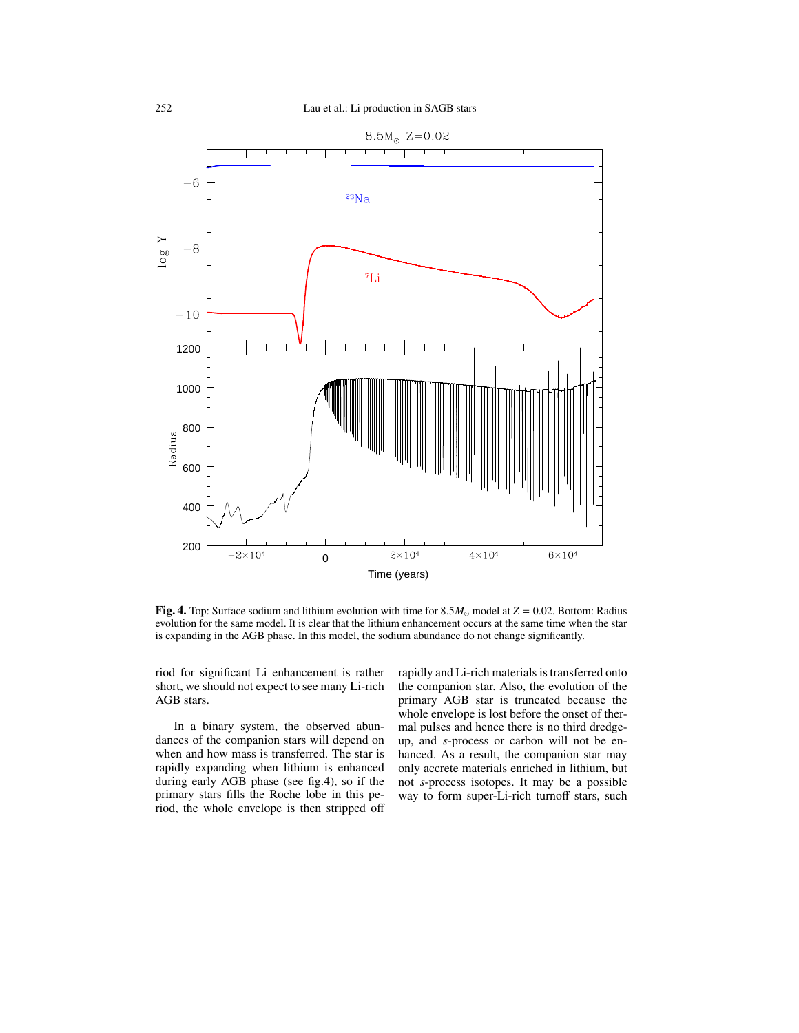

Fig. 4. Top: Surface sodium and lithium evolution with time for  $8.5M_{\odot}$  model at  $Z = 0.02$ . Bottom: Radius evolution for the same model. It is clear that the lithium enhancement occurs at the same time when the star is expanding in the AGB phase. In this model, the sodium abundance do not change significantly.

riod for significant Li enhancement is rather short, we should not expect to see many Li-rich AGB stars.

In a binary system, the observed abundances of the companion stars will depend on when and how mass is transferred. The star is rapidly expanding when lithium is enhanced during early AGB phase (see fig.4), so if the primary stars fills the Roche lobe in this period, the whole envelope is then stripped off rapidly and Li-rich materials is transferred onto the companion star. Also, the evolution of the primary AGB star is truncated because the whole envelope is lost before the onset of thermal pulses and hence there is no third dredgeup, and *s*-process or carbon will not be enhanced. As a result, the companion star may only accrete materials enriched in lithium, but not *s*-process isotopes. It may be a possible way to form super-Li-rich turnoff stars, such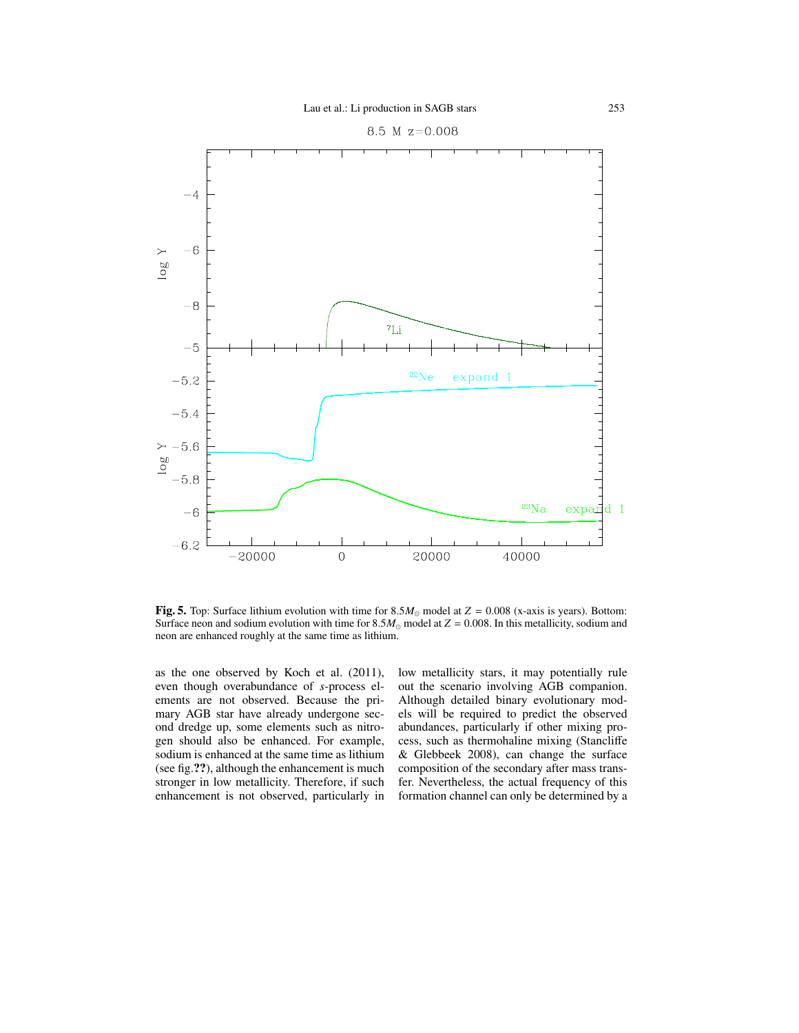

Fig. 5. Top: Surface lithium evolution with time for  $8.5M_{\odot}$  model at  $Z = 0.008$  (x-axis is years). Bottom: Surface neon and sodium evolution with time for  $8.5M_{\odot}$  model at  $Z = 0.008$ . In this metallicity, sodium and neon are enhanced roughly at the same time as lithium.

as the one observed by Koch et al. (2011), even though overabundance of *s*-process elements are not observed. Because the primary AGB star have already undergone second dredge up, some elements such as nitrogen should also be enhanced. For example, sodium is enhanced at the same time as lithium (see fig.??), although the enhancement is much stronger in low metallicity. Therefore, if such enhancement is not observed, particularly in

low metallicity stars, it may potentially rule out the scenario involving AGB companion. Although detailed binary evolutionary models will be required to predict the observed abundances, particularly if other mixing process, such as thermohaline mixing (Stancliffe & Glebbeek 2008), can change the surface composition of the secondary after mass transfer. Nevertheless, the actual frequency of this formation channel can only be determined by a